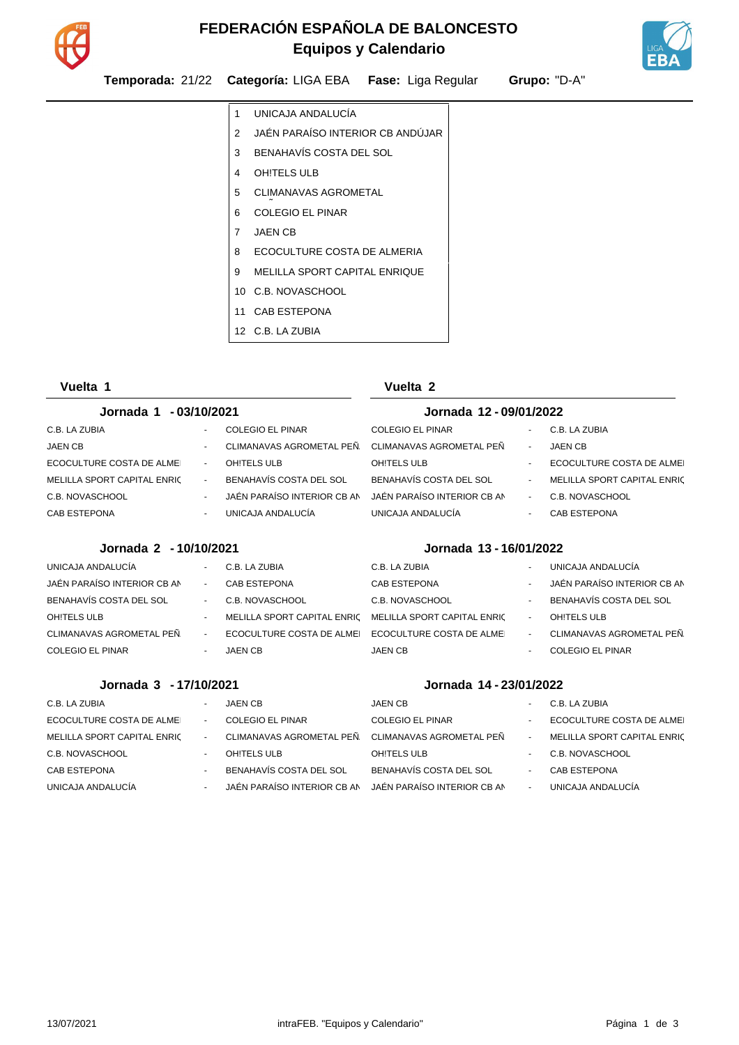

## **Equipos y Calendario FEDERACIÓN ESPAÑOLA DE BALONCESTO**



**Temporada:** 21/22 **Categoría:** LIGA EBA **Fase:** Liga Regular **Grupo:** "D-A"

12 C.B. LA ZUBIA

| 1              | UNICAJA ANDALUCÍA                |  |
|----------------|----------------------------------|--|
| $\overline{2}$ | JAÉN PARAÍSO INTERIOR CB ANDÚJAR |  |
| 3              | BENAHAVÍS COSTA DEL SOL          |  |
| 4              | OHITELS ULB                      |  |
| 5              | CI IMANAVAS AGROMETAI            |  |
| 6              | <b>COLEGIO EL PINAR</b>          |  |
| 7              | <b>JAEN CB</b>                   |  |
| 8              | FCOCULTURE COSTA DE ALMERIA      |  |
| 9              | MELILLA SPORT CAPITAL ENRIQUE    |  |
|                | 10 C.B. NOVASCHOOL               |  |
|                | 11 CAB ESTEPONA                  |  |

#### **Vuelta 1**

| - 03/10/2021<br>Jornada 1   |        |                             | Jornada 12 - 09/01/2022     |                |                            |
|-----------------------------|--------|-----------------------------|-----------------------------|----------------|----------------------------|
| C.B. LA ZUBIA               | $\sim$ | <b>COLEGIO EL PINAR</b>     | <b>COLEGIO EL PINAR</b>     |                | C.B. LA ZUBIA              |
| <b>JAEN CB</b>              | $\sim$ | CLIMANAVAS AGROMETAL PEÑ.   | CLIMANAVAS AGROMETAL PEÑ    | $\blacksquare$ | <b>JAEN CB</b>             |
| ECOCULTURE COSTA DE ALMEI   | $\sim$ | OH!TELS ULB                 | OH!TELS ULB                 | $\sim$         | ECOCULTURE COSTA DE ALME   |
| MELILLA SPORT CAPITAL ENRIC | $\sim$ | BENAHAVÍS COSTA DEL SOL     | BENAHAVÍS COSTA DEL SOL     | $\blacksquare$ | MELILLA SPORT CAPITAL ENRI |
| C.B. NOVASCHOOL             | $\sim$ | JAÉN PARAÍSO INTERIOR CB AN | JAÉN PARAÍSO INTERIOR CB AN | $\sim$         | C.B. NOVASCHOOL            |
| CAB ESTEPONA                | $\sim$ | UNICAJA ANDALUCÍA           | UNICAJA ANDALUCÍA           | $\sim$         | <b>CAB ESTEPONA</b>        |
|                             |        |                             |                             |                |                            |

**Vuelta 2**

#### **Jornada 2 - 10/10/2021**

|     | OH!TELS ULB                           | $\blacksquare$                              | ECOCULTURE COSTA DE ALME    |  |
|-----|---------------------------------------|---------------------------------------------|-----------------------------|--|
| SOL | BENAHAVÍS COSTA DEL SOL               | $\mathbf{a} = \mathbf{a} \times \mathbf{b}$ | MELILLA SPORT CAPITAL ENRIC |  |
|     | R CB AN – JAÉN PARAÍSO INTERIOR CB AN |                                             | - C.B. NOVASCHOOL           |  |
|     | UNICAJA ANDALUCÍA                     | $\blacksquare$                              | CAB ESTEPONA                |  |
|     |                                       |                                             |                             |  |

#### **Jornada 13 - 16/01/2022**

| UNICAJA ANDALUCÍA           | $\overline{\phantom{a}}$ | C.B. LA ZUBIA               | C.B. LA ZUBIA               | $\blacksquare$           | UNICAJA ANDALUCÍA           |
|-----------------------------|--------------------------|-----------------------------|-----------------------------|--------------------------|-----------------------------|
| JAÉN PARAÍSO INTERIOR CB AN | $\overline{\phantom{a}}$ | CAB ESTEPONA                | CAB ESTEPONA                |                          | JAÉN PARAÍSO INTERIOR CB AN |
| BENAHAVÍS COSTA DEL SOL     | $\overline{\phantom{a}}$ | C.B. NOVASCHOOL             | C.B. NOVASCHOOL             | $\sim$                   | BENAHAVÍS COSTA DEL SOL     |
| OH!TELS ULB                 | $\overline{\phantom{a}}$ | MELILLA SPORT CAPITAL ENRIC | MELILLA SPORT CAPITAL ENRIC | $\sim$                   | OH!TELS ULB                 |
| CLIMANAVAS AGROMETAL PEÑ    | $\overline{\phantom{a}}$ | ECOCULTURE COSTA DE ALMEI   | ECOCULTURE COSTA DE ALMEI   | $\overline{\phantom{a}}$ | CLIMANAVAS AGROMETAL PEÑ    |
| <b>COLEGIO EL PINAR</b>     | $\overline{\phantom{a}}$ | <b>JAEN CB</b>              | <b>JAEN CB</b>              |                          | <b>COLEGIO EL PINAR</b>     |
|                             |                          |                             |                             |                          |                             |

| Jornada 3 - 17/10/2021      |        | Jornada 14 - 23/01/2022     |                             |                          |                             |
|-----------------------------|--------|-----------------------------|-----------------------------|--------------------------|-----------------------------|
| C.B. LA ZUBIA               | $\sim$ | <b>JAEN CB</b>              | JAEN CB                     |                          | C.B. LA ZUBIA               |
| ECOCULTURE COSTA DE ALMEI   | $\sim$ | <b>COLEGIO EL PINAR</b>     | COLEGIO EL PINAR            | $\sim$                   | ECOCULTURE COSTA DE ALME    |
| MELILLA SPORT CAPITAL ENRIC | $\sim$ | CLIMANAVAS AGROMETAL PEÑ    | CLIMANAVAS AGROMETAL PEÑ    | $\sim$                   | MELILLA SPORT CAPITAL ENRIC |
| C.B. NOVASCHOOL             | $\sim$ | OH!TELS ULB                 | OH!TELS ULB                 | $\overline{\phantom{a}}$ | C.B. NOVASCHOOL             |
| CAB ESTEPONA                | $\sim$ | BENAHAVÍS COSTA DEL SOL     | BENAHAVÍS COSTA DEL SOL     | $\sim$                   | CAB ESTEPONA                |
| UNICAJA ANDALUCÍA           | $\sim$ | JAÉN PARAÍSO INTERIOR CB AN | JAÉN PARAÍSO INTERIOR CB AN | $\sim$                   | UNICAJA ANDALUCÍA           |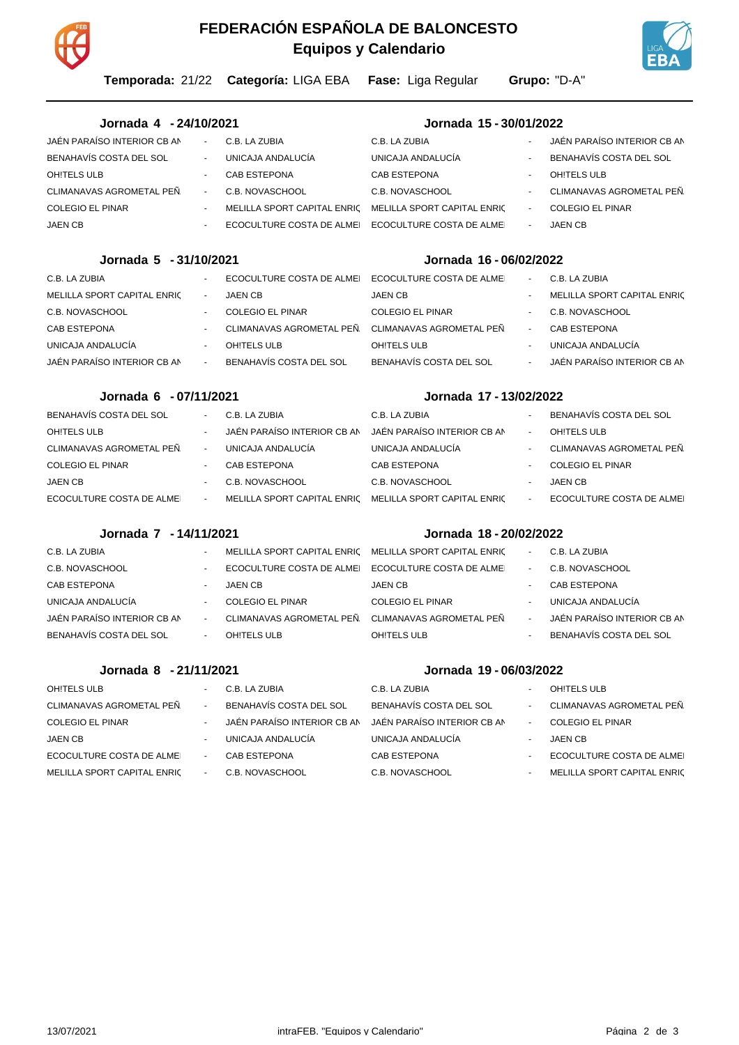

## **Equipos y Calendario FEDERACIÓN ESPAÑOLA DE BALONCESTO**



**Temporada:** 21/22 **Categoría:** LIGA EBA **Fase:** Liga Regular **Grupo:** "D-A"

| Jornada 4 - 24/10/2021      |        | Jornada 15 - 30/01/2022     |                             |        |                             |
|-----------------------------|--------|-----------------------------|-----------------------------|--------|-----------------------------|
| JAÉN PARAÍSO INTERIOR CB AN | $\sim$ | C.B. LA ZUBIA               | C.B. LA ZUBIA               |        | JAÉN PARAÍSO INTERIOR CB AN |
| BENAHAVIS COSTA DEL SOL     | $\sim$ | UNICAJA ANDALUCÍA           | UNICAJA ANDALUCÍA           | $\sim$ | BENAHAVÍS COSTA DEL SOL     |
| OH!TELS ULB                 | $\sim$ | CAB ESTEPONA                | CAB ESTEPONA                |        | OH!TELS ULB                 |
| CLIMANAVAS AGROMETAL PEÑ.   | $\sim$ | C.B. NOVASCHOOL             | C.B. NOVASCHOOL             |        | CLIMANAVAS AGROMETAL PEÑ    |
| COLEGIO EL PINAR            | $\sim$ | MELILLA SPORT CAPITAL ENRIC | MELILLA SPORT CAPITAL ENRIC | $\sim$ | <b>COLEGIO EL PINAR</b>     |
| <b>JAEN CB</b>              | $\sim$ | ECOCULTURE COSTA DE ALMEI   | ECOCULTURE COSTA DE ALMEI   | $\sim$ | <b>JAEN CB</b>              |
|                             |        |                             |                             |        |                             |

#### **Jornada 5 - 31/10/2021**

#### **Jornada 16 - 06/02/2022**

| $\overline{\phantom{a}}$ |                          | ECOCULTURE COSTA DE ALMEI | $\sim$                    | C.B. LA ZUBIA               |
|--------------------------|--------------------------|---------------------------|---------------------------|-----------------------------|
| $\overline{a}$           | JAEN CB                  | <b>JAEN CB</b>            |                           | MELILLA SPORT CAPITAL ENRIC |
| $\overline{\phantom{a}}$ | <b>COLEGIO EL PINAR</b>  | <b>COLEGIO EL PINAR</b>   |                           | C.B. NOVASCHOOL             |
| $\overline{\phantom{a}}$ | CLIMANAVAS AGROMETAL PEÑ | CLIMANAVAS AGROMETAL PEÑ  | $\sim$                    | CAB ESTEPONA                |
| $\overline{\phantom{0}}$ | OH!TELS ULB              | OH!TELS ULB               |                           | UNICAJA ANDALUCÍA           |
| $\blacksquare$           | BENAHAVÍS COSTA DEL SOL  | BENAHAVÍS COSTA DEL SOL   |                           | JAÉN PARAÍSO INTERIOR CB AN |
|                          |                          |                           | ECOCULTURE COSTA DE ALMEI |                             |

#### **Jornada 6 - 07/11/2021**

| BENAHAVÍS COSTA DEL SOL   | $\sim$         | C.B. LA ZUBIA               | C.B. LA ZUBIA               | $\sim$                   | BENAHAVÍS COSTA DEL SOL   |
|---------------------------|----------------|-----------------------------|-----------------------------|--------------------------|---------------------------|
| OH!TELS ULB               | $\overline{a}$ | JAÉN PARAÍSO INTERIOR CB AN | JAÉN PARAÍSO INTERIOR CB AN | $\sim$                   | OH!TELS ULB               |
| CLIMANAVAS AGROMETAL PEÑ  | $\sim$         | UNICAJA ANDALUCÍA           | UNICAJA ANDALUCÍA           |                          | CLIMANAVAS AGROMETAL PEÑ  |
| <b>COLEGIO EL PINAR</b>   | $\sim$         | CAB ESTEPONA                | CAB ESTEPONA                |                          | <b>COLEGIO EL PINAR</b>   |
| <b>JAEN CB</b>            |                | C.B. NOVASCHOOL             | C.B. NOVASCHOOL             |                          | <b>JAEN CB</b>            |
| ECOCULTURE COSTA DE ALMEI | $\sim$         | MELILLA SPORT CAPITAL ENRIC | MELILLA SPORT CAPITAL ENRIC | $\overline{\phantom{a}}$ | ECOCULTURE COSTA DE ALMEI |
|                           |                |                             |                             |                          |                           |

#### **Jornada 7 - 14/11/2021**

#### **Jornada 18 - 20/02/2022**

**Jornada 17 - 13/02/2022**

| C.B. LA ZUBIA               |        | MELILLA SPORT CAPITAL ENRIC MELILLA SPORT CAPITAL ENRIC |                           | $\sim$         | C.B. LA ZUBIA               |
|-----------------------------|--------|---------------------------------------------------------|---------------------------|----------------|-----------------------------|
| C.B. NOVASCHOOL             | $\sim$ | ECOCULTURE COSTA DE ALMEI                               | ECOCULTURE COSTA DE ALMEI | $\blacksquare$ | C.B. NOVASCHOOL             |
| <b>CAB ESTEPONA</b>         | $\sim$ | <b>JAEN CB</b>                                          | <b>JAEN CB</b>            | $\blacksquare$ | <b>CAB ESTEPONA</b>         |
| UNICAJA ANDALUCÍA           | $\sim$ | <b>COLEGIO EL PINAR</b>                                 | <b>COLEGIO EL PINAR</b>   | $\blacksquare$ | UNICAJA ANDALUCÍA           |
| JAÉN PARAÍSO INTERIOR CB AN | $\sim$ | CLIMANAVAS AGROMETAL PEÑ.                               | CLIMANAVAS AGROMETAL PEÑ  | $\blacksquare$ | JAÉN PARAÍSO INTERIOR CB AN |
| BENAHAVÍS COSTA DEL SOL     | $\sim$ | OH!TELS ULB                                             | OH!TELS ULB               |                | BENAHAVÍS COSTA DEL SOL     |
|                             |        |                                                         |                           |                |                             |

#### **Jornada 8 - 21/11/2021**

#### OH!TELS ULB C.B. LA ZUBIA CLIMANAVAS AGROMETAL PEÑANARROVÁN - BENAHAVÍS COSTA DEL SOL COLEGIO EL PINAR JAÉN PARAÍSO INTERIOR CB ANDÚAR - COLEGIO EL PINAR JAEN CB - UNICAJA ANDALUCÍA ECOCULTURE COSTA DE ALMEI - CAB ESTEPONA MELILLA SPORT CAPITAL ENRIC<sub>+</sub>C.B. NOVASCHOOL
C.B. NOVASCHOOL **Jornada 19 - 06/03/2022** C.B. LA ZUBIA - OH!TELS ULB BENAHAVÍS COSTA DEL SOL <sup>-</sup> CLIMANAVAS AGROMETAL PEÑ UNICAJA ANDALUCÍA - JAEN CB CAB ESTEPONA **A COLLECTE ECOCULTURE COSTA DE ALME** - MELILLA SPORT CAPITAL ENRIC